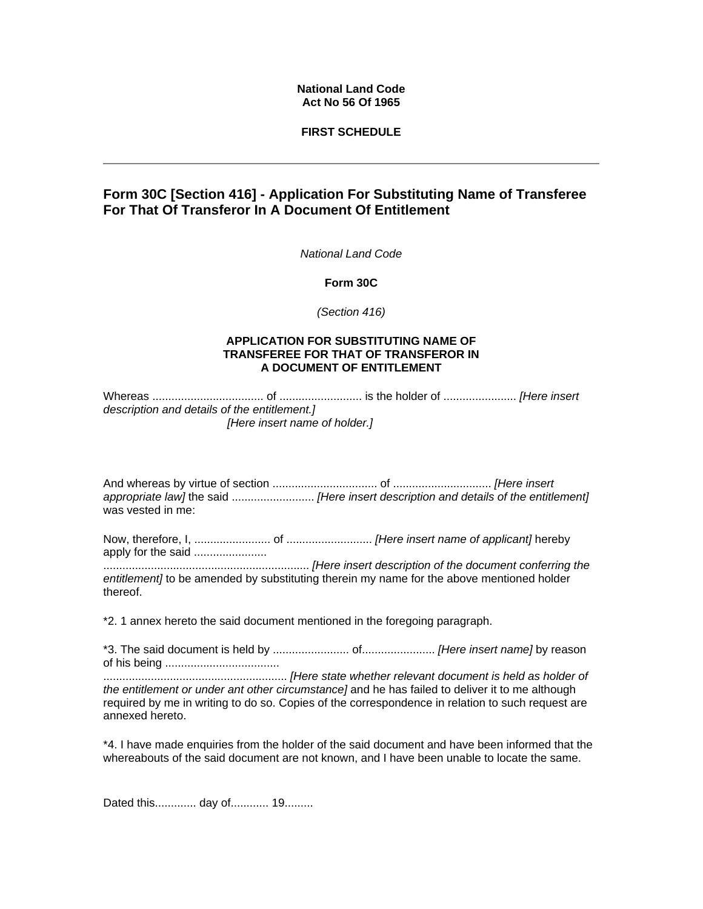# **National Land Code Act No 56 Of 1965**

# **FIRST SCHEDULE**

# **Form 30C [Section 416] - Application For Substituting Name of Transferee For That Of Transferor In A Document Of Entitlement**

*National Land Code* 

**Form 30C** 

*(Section 416)*

### **APPLICATION FOR SUBSTITUTING NAME OF TRANSFEREE FOR THAT OF TRANSFEROR IN A DOCUMENT OF ENTITLEMENT**

Whereas ................................... of .......................... is the holder of ....................... *[Here insert description and details of the entitlement.] [Here insert name of holder.]*

And whereas by virtue of section ................................. of ............................... *[Here insert appropriate law]* the said .......................... *[Here insert description and details of the entitlement]* was vested in me:

Now, therefore, I, ........................ of ........................... *[Here insert name of applicant]* hereby apply for the said .......................

................................................................. *[Here insert description of the document conferring the entitlement]* to be amended by substituting therein my name for the above mentioned holder thereof.

\*2. 1 annex hereto the said document mentioned in the foregoing paragraph.

\*3. The said document is held by ........................ of....................... *[Here insert name]* by reason of his being .................................... .......................................................... *[Here state whether relevant document is held as holder of the entitlement or under ant other circumstance]* and he has failed to deliver it to me although required by me in writing to do so. Copies of the correspondence in relation to such request are annexed hereto.

\*4. I have made enquiries from the holder of the said document and have been informed that the whereabouts of the said document are not known, and I have been unable to locate the same.

Dated this............. day of............ 19.........